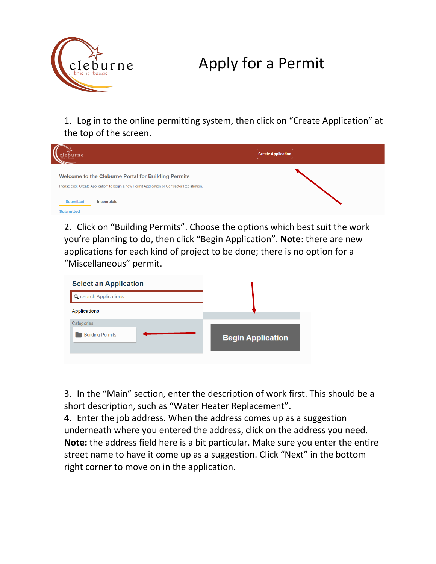

## Apply for a Permit

1. Log in to the online permitting system, then click on "Create Application" at the top of the screen.



2. Click on "Building Permits". Choose the options which best suit the work you're planning to do, then click "Begin Application". **Note**: there are new applications for each kind of project to be done; there is no option for a "Miscellaneous" permit.



3. In the "Main" section, enter the description of work first. This should be a short description, such as "Water Heater Replacement".

4. Enter the job address. When the address comes up as a suggestion underneath where you entered the address, click on the address you need. **Note:** the address field here is a bit particular. Make sure you enter the entire street name to have it come up as a suggestion. Click "Next" in the bottom right corner to move on in the application.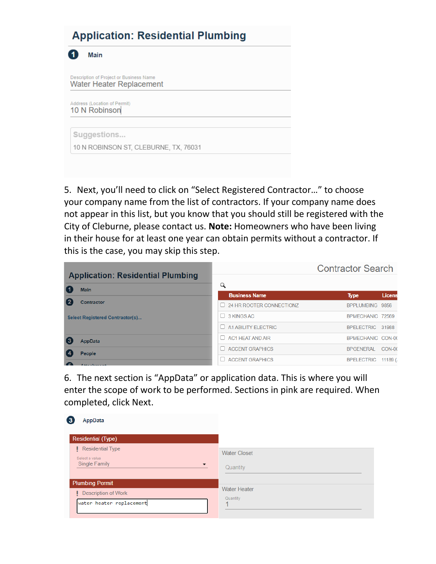## **Application: Residential Plumbing**

41 Main Description of Project or Business Name **Water Heater Replacement** Address (Location of Permit) 10 N Robinson Suggestions... 10 N ROBINSON ST, CLEBURNE, TX, 76031

5. Next, you'll need to click on "Select Registered Contractor…" to choose your company name from the list of contractors. If your company name does not appear in this list, but you know that you should still be registered with the City of Cleburne, please contact us. **Note:** Homeowners who have been living in their house for at least one year can obtain permits without a contractor. If this is the case, you may skip this step.

| <b>Application: Residential Plumbing</b> |  | <b>Contractor Search</b>        |  |                   |          |
|------------------------------------------|--|---------------------------------|--|-------------------|----------|
| 【1<br><b>Main</b>                        |  |                                 |  |                   |          |
|                                          |  | <b>Business Name</b>            |  | <b>Type</b>       | Licens   |
| $\blacksquare$<br><b>Contractor</b>      |  | $\Box$ 24 HR ROOTER CONNECTIONZ |  | BPPLUMBING 9856   |          |
| Select Registered Contractor(s)          |  | $\Box$ 3 KINGS AC               |  | BPMECHANIC 72569  |          |
|                                          |  | A1 ABILITY ELECTRIC             |  | BPELECTRIC 31988  |          |
| $\blacksquare$<br>AppData                |  | $\Box$ AC1 HEAT AND AIR         |  | BPMECHANIC CON-00 |          |
| People                                   |  | $\Box$ ACCENT GRAPHICS          |  | <b>BPGENERAL</b>  | CON-00   |
| <b>CALL TO BE AN INCOME.</b>             |  | <b>ACCENT GRAPHICS</b>          |  | <b>BPELECTRIC</b> | 11189 (, |

6. The next section is "AppData" or application data. This is where you will enter the scope of work to be performed. Sections in pink are required. When completed, click Next.

| 3<br>AppData                                                                                  |                                      |
|-----------------------------------------------------------------------------------------------|--------------------------------------|
| <b>Residential (Type)</b>                                                                     |                                      |
| <b>Residential Type</b><br>Select a value<br><b>Single Family</b><br>$\overline{\phantom{a}}$ | <b>Water Closet</b><br>Quantity      |
| <b>Plumbing Permit</b><br>Description of Work<br>water heater replacement                     | <b>Water Heater</b><br>Quantity<br>4 |